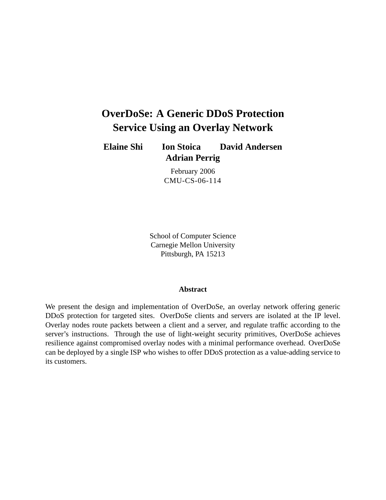# **OverDoSe: A Generic DDoS Protection Service Using an Overlay Network**

**Elaine Shi Ion Stoica David Andersen Adrian Perrig**

> February 2006 CMU-CS-06-114

School of Computer Science Carnegie Mellon University Pittsburgh, PA 15213

#### **Abstract**

We present the design and implementation of OverDoSe, an overlay network offering generic DDoS protection for targeted sites. OverDoSe clients and servers are isolated at the IP level. Overlay nodes route packets between a client and a server, and regulate traffic according to the server's instructions. Through the use of light-weight security primitives, OverDoSe achieves resilience against compromised overlay nodes with a minimal performance overhead. OverDoSe can be deployed by a single ISP who wishes to offer DDoS protection as a value-adding service to its customers.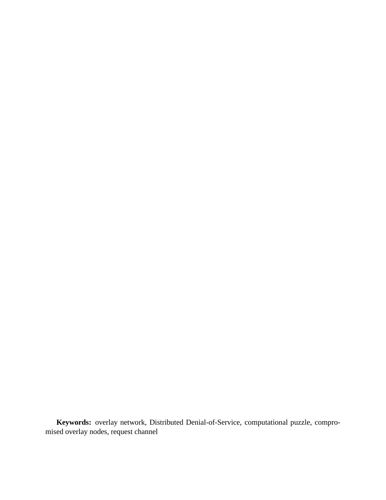**Keywords:** overlay network, Distributed Denial-of-Service, computational puzzle, compromised overlay nodes, request channel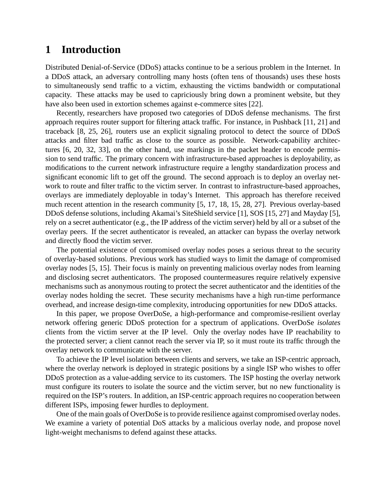# **1 Introduction**

Distributed Denial-of-Service (DDoS) attacks continue to be a serious problem in the Internet. In a DDoS attack, an adversary controlling many hosts (often tens of thousands) uses these hosts to simultaneously send traffic to a victim, exhausting the victims bandwidth or computational capacity. These attacks may be used to capriciously bring down a prominent website, but they have also been used in extortion schemes against e-commerce sites [22].

Recently, researchers have proposed two categories of DDoS defense mechanisms. The first approach requires router support for filtering attack traffic. For instance, in Pushback [11, 21] and traceback [8, 25, 26], routers use an explicit signaling protocol to detect the source of DDoS attacks and filter bad traffic as close to the source as possible. Network-capability architectures [6, 20, 32, 33], on the other hand, use markings in the packet header to encode permission to send traffic. The primary concern with infrastructure-based approaches is deployability, as modifications to the current network infrastructure require a lengthy standardization process and significant economic lift to get off the ground. The second approach is to deploy an overlay network to route and filter traffic to the victim server. In contrast to infrastructure-based approaches, overlays are immediately deployable in today's Internet. This approach has therefore received much recent attention in the research community [5, 17, 18, 15, 28, 27]. Previous overlay-based DDoS defense solutions, including Akamai's SiteShield service [1], SOS [15, 27] and Mayday [5], rely on a secret authenticator (e.g., the IP address of the victim server) held by all or a subset of the overlay peers. If the secret authenticator is revealed, an attacker can bypass the overlay network and directly flood the victim server.

The potential existence of compromised overlay nodes poses a serious threat to the security of overlay-based solutions. Previous work has studied ways to limit the damage of compromised overlay nodes [5, 15]. Their focus is mainly on preventing malicious overlay nodes from learning and disclosing secret authenticators. The proposed countermeasures require relatively expensive mechanisms such as anonymous routing to protect the secret authenticator and the identities of the overlay nodes holding the secret. These security mechanisms have a high run-time performance overhead, and increase design-time complexity, introducing opportunities for new DDoS attacks.

In this paper, we propose OverDoSe, a high-performance and compromise-resilient overlay network offering generic DDoS protection for a spectrum of applications. OverDoSe *isolates* clients from the victim server at the IP level. Only the overlay nodes have IP reachability to the protected server; a client cannot reach the server via IP, so it must route its traffic through the overlay network to communicate with the server.

To achieve the IP level isolation between clients and servers, we take an ISP-centric approach, where the overlay network is deployed in strategic positions by a single ISP who wishes to offer DDoS protection as a value-adding service to its customers. The ISP hosting the overlay network must configure its routers to isolate the source and the victim server, but no new functionality is required on the ISP's routers. In addition, an ISP-centric approach requires no cooperation between different ISPs, imposing fewer hurdles to deployment.

One of the main goals of OverDoSe is to provide resilience against compromised overlay nodes. We examine a variety of potential DoS attacks by a malicious overlay node, and propose novel light-weight mechanisms to defend against these attacks.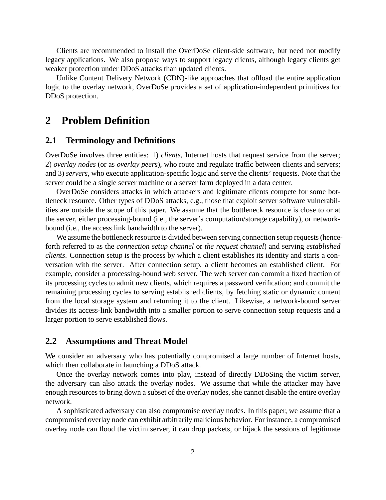Clients are recommended to install the OverDoSe client-side software, but need not modify legacy applications. We also propose ways to support legacy clients, although legacy clients get weaker protection under DDoS attacks than updated clients.

Unlike Content Delivery Network (CDN)-like approaches that offload the entire application logic to the overlay network, OverDoSe provides a set of application-independent primitives for DDoS protection.

## **2 Problem Definition**

#### **2.1 Terminology and Definitions**

OverDoSe involves three entities: 1) *clients*, Internet hosts that request service from the server; 2) *overlay nodes* (or as *overlay peers*), who route and regulate traffic between clients and servers; and 3) *servers,* who execute application-specific logic and serve the clients' requests. Note that the server could be a single server machine or a server farm deployed in a data center.

OverDoSe considers attacks in which attackers and legitimate clients compete for some bottleneck resource. Other types of DDoS attacks, e.g., those that exploit server software vulnerabilities are outside the scope of this paper. We assume that the bottleneck resource is close to or at the server, either processing-bound (i.e., the server's computation/storage capability), or networkbound (i.e., the access link bandwidth to the server).

We assume the bottleneck resource is divided between serving connection setup requests (henceforth referred to as the *connection setup channel* or *the request channel*) and serving *established clients*. Connection setup is the process by which a client establishes its identity and starts a conversation with the server. After connection setup, a client becomes an established client. For example, consider a processing-bound web server. The web server can commit a fixed fraction of its processing cycles to admit new clients, which requires a password verification; and commit the remaining processing cycles to serving established clients, by fetching static or dynamic content from the local storage system and returning it to the client. Likewise, a network-bound server divides its access-link bandwidth into a smaller portion to serve connection setup requests and a larger portion to serve established flows.

### **2.2 Assumptions and Threat Model**

We consider an adversary who has potentially compromised a large number of Internet hosts, which then collaborate in launching a DDoS attack.

Once the overlay network comes into play, instead of directly DDoSing the victim server, the adversary can also attack the overlay nodes. We assume that while the attacker may have enough resources to bring down a subset of the overlay nodes, she cannot disable the entire overlay network.

A sophisticated adversary can also compromise overlay nodes. In this paper, we assume that a compromised overlay node can exhibit arbitrarily malicious behavior. For instance, a compromised overlay node can flood the victim server, it can drop packets, or hijack the sessions of legitimate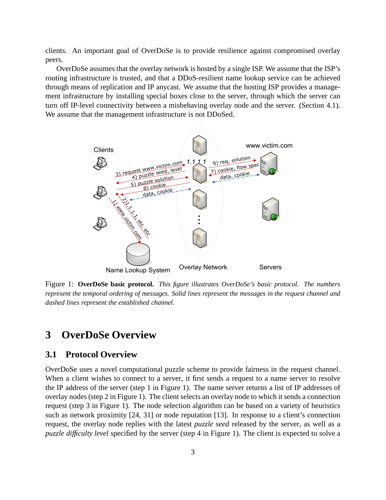clients. An important goal of OverDoSe is to provide resilience against compromised overlay peers.

OverDoSe assumes that the overlay network is hosted by a single ISP. We assume that the ISP's routing infrastructure is trusted, and that a DDoS-resilient name lookup service can be achieved through means of replication and IP anycast. We assume that the hosting ISP provides a management infrastructure by installing special boxes close to the server, through which the server can turn off IP-level connectivity between a misbehaving overlay node and the server. (Section 4.1). We assume that the management infrastructure is not DDoSed.



Figure 1: **OverDoSe basic protocol.** *This figure illustrates OverDoSe's basic protocol. The numbers represent the temporal ordering of messages. Solid lines represent the messages in the request channel and dashed lines represent the established channel.*

# **3 OverDoSe Overview**

#### **3.1 Protocol Overview**

OverDoSe uses a novel computational puzzle scheme to provide fairness in the request channel. When a client wishes to connect to a server, it first sends a request to a name server to resolve the IP address of the server (step 1 in Figure 1). The name server returns a list of IP addresses of overlay nodes (step 2 in Figure 1). The client selects an overlay node to which it sends a connection request (step 3 in Figure 1). The node selection algorithm can be based on a variety of heuristics such as network proximity [24, 31] or node reputation [13]. In response to a client's connection request, the overlay node replies with the latest *puzzle seed* released by the server, as well as a *puzzle difficulty level* specified by the server (step 4 in Figure 1). The client is expected to solve a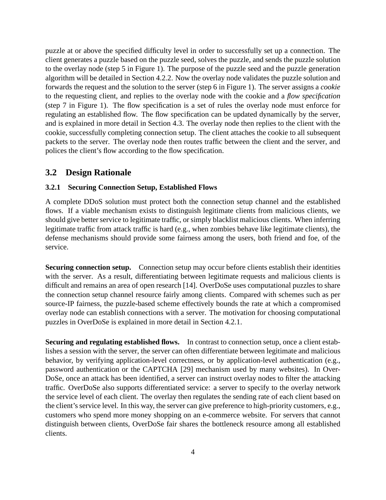puzzle at or above the specified difficulty level in order to successfully set up a connection. The client generates a puzzle based on the puzzle seed, solves the puzzle, and sends the puzzle solution to the overlay node (step 5 in Figure 1). The purpose of the puzzle seed and the puzzle generation algorithm will be detailed in Section 4.2.2. Now the overlay node validates the puzzle solution and forwards the request and the solution to the server (step 6 in Figure 1). The server assigns a *cookie* to the requesting client, and replies to the overlay node with the cookie and a *flow specification* (step 7 in Figure 1). The flow specification is a set of rules the overlay node must enforce for regulating an established flow. The flow specification can be updated dynamically by the server, and is explained in more detail in Section 4.3. The overlay node then replies to the client with the cookie, successfully completing connection setup. The client attaches the cookie to all subsequent packets to the server. The overlay node then routes traffic between the client and the server, and polices the client's flow according to the flow specification.

## **3.2 Design Rationale**

#### **3.2.1 Securing Connection Setup, Established Flows**

A complete DDoS solution must protect both the connection setup channel and the established flows. If a viable mechanism exists to distinguish legitimate clients from malicious clients, we should give better service to legitimate traffic, or simply blacklist malicious clients. When inferring legitimate traffic from attack traffic is hard (e.g., when zombies behave like legitimate clients), the defense mechanisms should provide some fairness among the users, both friend and foe, of the service.

**Securing connection setup.** Connection setup may occur before clients establish their identities with the server. As a result, differentiating between legitimate requests and malicious clients is difficult and remains an area of open research [14]. OverDoSe uses computational puzzles to share the connection setup channel resource fairly among clients. Compared with schemes such as per source-IP fairness, the puzzle-based scheme effectively bounds the rate at which a compromised overlay node can establish connections with a server. The motivation for choosing computational puzzles in OverDoSe is explained in more detail in Section 4.2.1.

**Securing and regulating established flows.** In contrast to connection setup, once a client establishes a session with the server, the server can often differentiate between legitimate and malicious behavior, by verifying application-level correctness, or by application-level authentication (e.g., password authentication or the CAPTCHA [29] mechanism used by many websites). In Over-DoSe, once an attack has been identified, a server can instruct overlay nodes to filter the attacking traffic. OverDoSe also supports differentiated service: a server to specify to the overlay network the service level of each client. The overlay then regulates the sending rate of each client based on the client's service level. In this way, the server can give preference to high-priority customers, e.g., customers who spend more money shopping on an e-commerce website. For servers that cannot distinguish between clients, OverDoSe fair shares the bottleneck resource among all established clients.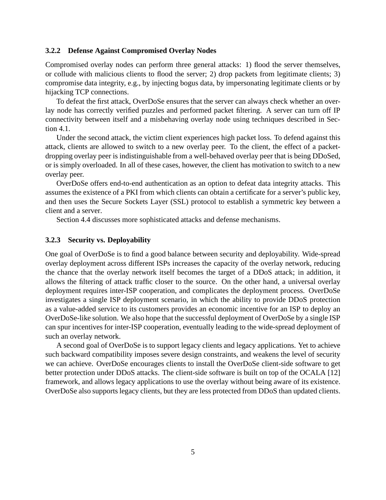#### **3.2.2 Defense Against Compromised Overlay Nodes**

Compromised overlay nodes can perform three general attacks: 1) flood the server themselves, or collude with malicious clients to flood the server; 2) drop packets from legitimate clients; 3) compromise data integrity, e.g., by injecting bogus data, by impersonating legitimate clients or by hijacking TCP connections.

To defeat the first attack, OverDoSe ensures that the server can always check whether an overlay node has correctly verified puzzles and performed packet filtering. A server can turn off IP connectivity between itself and a misbehaving overlay node using techniques described in Section 4.1.

Under the second attack, the victim client experiences high packet loss. To defend against this attack, clients are allowed to switch to a new overlay peer. To the client, the effect of a packetdropping overlay peer is indistinguishable from a well-behaved overlay peer that is being DDoSed, or is simply overloaded. In all of these cases, however, the client has motivation to switch to a new overlay peer.

OverDoSe offers end-to-end authentication as an option to defeat data integrity attacks. This assumes the existence of a PKI from which clients can obtain a certificate for a server's public key, and then uses the Secure Sockets Layer (SSL) protocol to establish a symmetric key between a client and a server.

Section 4.4 discusses more sophisticated attacks and defense mechanisms.

#### **3.2.3 Security vs. Deployability**

One goal of OverDoSe is to find a good balance between security and deployability. Wide-spread overlay deployment across different ISPs increases the capacity of the overlay network, reducing the chance that the overlay network itself becomes the target of a DDoS attack; in addition, it allows the filtering of attack traffic closer to the source. On the other hand, a universal overlay deployment requires inter-ISP cooperation, and complicates the deployment process. OverDoSe investigates a single ISP deployment scenario, in which the ability to provide DDoS protection as a value-added service to its customers provides an economic incentive for an ISP to deploy an OverDoSe-like solution. We also hope that the successful deployment of OverDoSe by a single ISP can spur incentives for inter-ISP cooperation, eventually leading to the wide-spread deployment of such an overlay network.

A second goal of OverDoSe is to support legacy clients and legacy applications. Yet to achieve such backward compatibility imposes severe design constraints, and weakens the level of security we can achieve. OverDoSe encourages clients to install the OverDoSe client-side software to get better protection under DDoS attacks. The client-side software is built on top of the OCALA [12] framework, and allows legacy applications to use the overlay without being aware of its existence. OverDoSe also supports legacy clients, but they are less protected from DDoS than updated clients.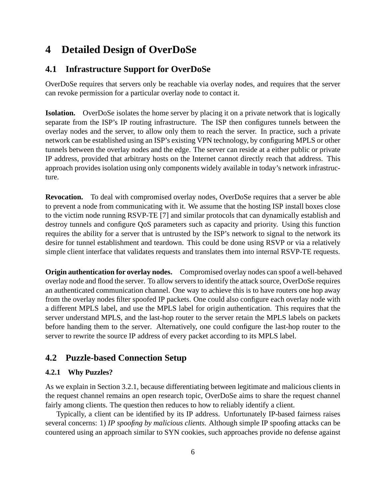# **4 Detailed Design of OverDoSe**

## **4.1 Infrastructure Support for OverDoSe**

OverDoSe requires that servers only be reachable via overlay nodes, and requires that the server can revoke permission for a particular overlay node to contact it.

**Isolation.** OverDoSe isolates the home server by placing it on a private network that is logically separate from the ISP's IP routing infrastructure. The ISP then configures tunnels between the overlay nodes and the server, to allow only them to reach the server. In practice, such a private network can be established using an ISP's existing VPN technology, by configuring MPLS or other tunnels between the overlay nodes and the edge. The server can reside at a either public or private IP address, provided that arbitrary hosts on the Internet cannot directly reach that address. This approach provides isolation using only components widely available in today's network infrastructure.

**Revocation.** To deal with compromised overlay nodes, OverDoSe requires that a server be able to prevent a node from communicating with it. We assume that the hosting ISP install boxes close to the victim node running RSVP-TE [7] and similar protocols that can dynamically establish and destroy tunnels and configure QoS parameters such as capacity and priority. Using this function requires the ability for a server that is untrusted by the ISP's network to signal to the network its desire for tunnel establishment and teardown. This could be done using RSVP or via a relatively simple client interface that validates requests and translates them into internal RSVP-TE requests.

**Origin authentication for overlay nodes.** Compromised overlay nodes can spoof a well-behaved overlay node and flood the server. To allow servers to identify the attack source, OverDoSe requires an authenticated communication channel. One way to achieve this is to have routers one hop away from the overlay nodes filter spoofed IP packets. One could also configure each overlay node with a different MPLS label, and use the MPLS label for origin authentication. This requires that the server understand MPLS, and the last-hop router to the server retain the MPLS labels on packets before handing them to the server. Alternatively, one could configure the last-hop router to the server to rewrite the source IP address of every packet according to its MPLS label.

## **4.2 Puzzle-based Connection Setup**

#### **4.2.1 Why Puzzles?**

As we explain in Section 3.2.1, because differentiating between legitimate and malicious clients in the request channel remains an open research topic, OverDoSe aims to share the request channel fairly among clients. The question then reduces to how to reliably identify a client.

Typically, a client can be identified by its IP address. Unfortunately IP-based fairness raises several concerns: 1) *IP spoofing by malicious clients.* Although simple IP spoofing attacks can be countered using an approach similar to SYN cookies, such approaches provide no defense against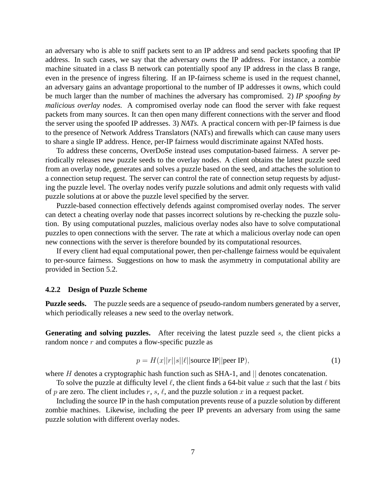an adversary who is able to sniff packets sent to an IP address and send packets spoofing that IP address. In such cases, we say that the adversary *owns* the IP address. For instance, a zombie machine situated in a class B network can potentially spoof any IP address in the class B range, even in the presence of ingress filtering. If an IP-fairness scheme is used in the request channel, an adversary gains an advantage proportional to the number of IP addresses it owns, which could be much larger than the number of machines the adversary has compromised. 2) *IP spoofing by malicious overlay nodes.* A compromised overlay node can flood the server with fake request packets from many sources. It can then open many different connections with the server and flood the server using the spoofed IP addresses. 3) *NATs.* A practical concern with per-IP fairness is due to the presence of Network Address Translators (NATs) and firewalls which can cause many users to share a single IP address. Hence, per-IP fairness would discriminate against NATed hosts.

To address these concerns, OverDoSe instead uses computation-based fairness. A server periodically releases new puzzle seeds to the overlay nodes. A client obtains the latest puzzle seed from an overlay node, generates and solves a puzzle based on the seed, and attaches the solution to a connection setup request. The server can control the rate of connection setup requests by adjusting the puzzle level. The overlay nodes verify puzzle solutions and admit only requests with valid puzzle solutions at or above the puzzle level specified by the server.

Puzzle-based connection effectively defends against compromised overlay nodes. The server can detect a cheating overlay node that passes incorrect solutions by re-checking the puzzle solution. By using computational puzzles, malicious overlay nodes also have to solve computational puzzles to open connections with the server. The rate at which a malicious overlay node can open new connections with the server is therefore bounded by its computational resources.

If every client had equal computational power, then per-challenge fairness would be equivalent to per-source fairness. Suggestions on how to mask the asymmetry in computational ability are provided in Section 5.2.

#### **4.2.2 Design of Puzzle Scheme**

**Puzzle seeds.** The puzzle seeds are a sequence of pseudo-random numbers generated by a server, which periodically releases a new seed to the overlay network.

Generating and solving puzzles. After receiving the latest puzzle seed s, the client picks a random nonce  $r$  and computes a flow-specific puzzle as

$$
p = H(x||r||s||\ell|| \text{source IP}|| \text{peer IP}), \tag{1}
$$

where  $H$  denotes a cryptographic hash function such as SHA-1, and  $\parallel$  denotes concatenation.

To solve the puzzle at difficulty level  $\ell$ , the client finds a 64-bit value x such that the last  $\ell$  bits of p are zero. The client includes r, s,  $\ell$ , and the puzzle solution x in a request packet.

Including the source IP in the hash computation prevents reuse of a puzzle solution by different zombie machines. Likewise, including the peer IP prevents an adversary from using the same puzzle solution with different overlay nodes.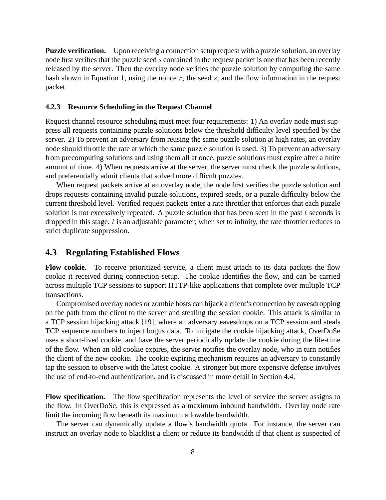**Puzzle verification.** Upon receiving a connection setup request with a puzzle solution, an overlay node first verifies that the puzzle seed s contained in the request packet is one that has been recently released by the server. Then the overlay node verifies the puzzle solution by computing the same hash shown in Equation 1, using the nonce  $r$ , the seed  $s$ , and the flow information in the request packet.

#### **4.2.3 Resource Scheduling in the Request Channel**

Request channel resource scheduling must meet four requirements: 1) An overlay node must suppress all requests containing puzzle solutions below the threshold difficulty level specified by the server. 2) To prevent an adversary from reusing the same puzzle solution at high rates, an overlay node should throttle the rate at which the same puzzle solution is used. 3) To prevent an adversary from precomputing solutions and using them all at once, puzzle solutions must expire after a finite amount of time. 4) When requests arrive at the server, the server must check the puzzle solutions, and preferentially admit clients that solved more difficult puzzles.

When request packets arrive at an overlay node, the node first verifies the puzzle solution and drops requests containing invalid puzzle solutions, expired seeds, or a puzzle difficulty below the current threshold level. Verified request packets enter a rate throttler that enforces that each puzzle solution is not excessively repeated. A puzzle solution that has been seen in the past  $t$  seconds is dropped in this stage.  $t$  is an adjustable parameter; when set to infinity, the rate throttler reduces to strict duplicate suppression.

### **4.3 Regulating Established Flows**

**Flow cookie.** To receive prioritized service, a client must attach to its data packets the flow cookie it received during connection setup. The cookie identifies the flow, and can be carried across multiple TCP sessions to support HTTP-like applications that complete over multiple TCP transactions.

Compromised overlay nodes or zombie hosts can hijack a client's connection by eavesdropping on the path from the client to the server and stealing the session cookie. This attack is similar to a TCP session hijacking attack [19], where an adversary eavesdrops on a TCP session and steals TCP sequence numbers to inject bogus data. To mitigate the cookie hijacking attack, OverDoSe uses a short-lived cookie, and have the server periodically update the cookie during the life-time of the flow. When an old cookie expires, the server notifies the overlay node, who in turn notifies the client of the new cookie. The cookie expiring mechanism requires an adversary to constantly tap the session to observe with the latest cookie. A stronger but more expensive defense involves the use of end-to-end authentication, and is discussed in more detail in Section 4.4.

Flow specification. The flow specification represents the level of service the server assigns to the flow. In OverDoSe, this is expressed as a maximum inbound bandwidth. Overlay node rate limit the incoming flow beneath its maximum allowable bandwidth.

The server can dynamically update a flow's bandwidth quota. For instance, the server can instruct an overlay node to blacklist a client or reduce its bandwidth if that client is suspected of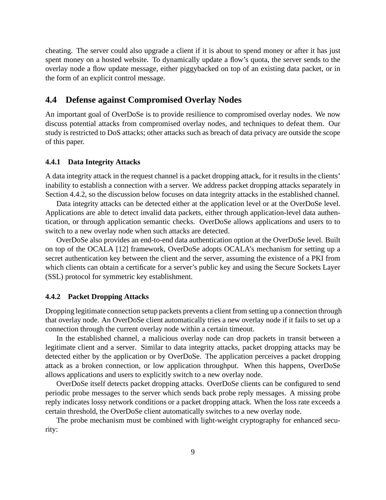cheating. The server could also upgrade a client if it is about to spend money or after it has just spent money on a hosted website. To dynamically update a flow's quota, the server sends to the overlay node a flow update message, either piggybacked on top of an existing data packet, or in the form of an explicit control message.

### **4.4 Defense against Compromised Overlay Nodes**

An important goal of OverDoSe is to provide resilience to compromised overlay nodes. We now discuss potential attacks from compromised overlay nodes, and techniques to defeat them. Our study is restricted to DoS attacks; other attacks such as breach of data privacy are outside the scope of this paper.

#### **4.4.1 Data Integrity Attacks**

A data integrity attack in the request channel is a packet dropping attack, for it results in the clients' inability to establish a connection with a server. We address packet dropping attacks separately in Section 4.4.2, so the discussion below focuses on data integrity attacks in the established channel.

Data integrity attacks can be detected either at the application level or at the OverDoSe level. Applications are able to detect invalid data packets, either through application-level data authentication, or through application semantic checks. OverDoSe allows applications and users to to switch to a new overlay node when such attacks are detected.

OverDoSe also provides an end-to-end data authentication option at the OverDoSe level. Built on top of the OCALA [12] framework, OverDoSe adopts OCALA's mechanism for setting up a secret authentication key between the client and the server, assuming the existence of a PKI from which clients can obtain a certificate for a server's public key and using the Secure Sockets Layer (SSL) protocol for symmetric key establishment.

#### **4.4.2 Packet Dropping Attacks**

Dropping legitimate connection setup packets prevents a client from setting up a connection through that overlay node. An OverDoSe client automatically tries a new overlay node if it fails to set up a connection through the current overlay node within a certain timeout.

In the established channel, a malicious overlay node can drop packets in transit between a legitimate client and a server. Similar to data integrity attacks, packet dropping attacks may be detected either by the application or by OverDoSe. The application perceives a packet dropping attack as a broken connection, or low application throughput. When this happens, OverDoSe allows applications and users to explicitly switch to a new overlay node.

OverDoSe itself detects packet dropping attacks. OverDoSe clients can be configured to send periodic probe messages to the server which sends back probe reply messages. A missing probe reply indicates lossy network conditions or a packet dropping attack. When the loss rate exceeds a certain threshold, the OverDoSe client automatically switches to a new overlay node.

The probe mechanism must be combined with light-weight cryptography for enhanced security: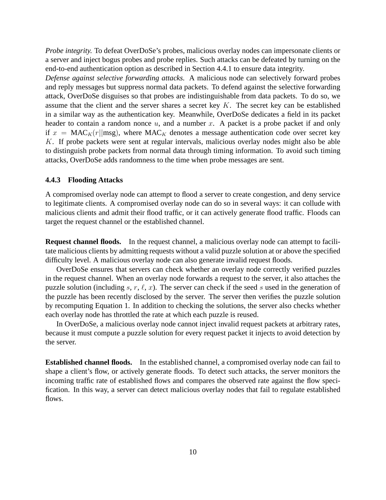*Probe integrity.* To defeat OverDoSe's probes, malicious overlay nodes can impersonate clients or a server and inject bogus probes and probe replies. Such attacks can be defeated by turning on the end-to-end authentication option as described in Section 4.4.1 to ensure data integrity.

*Defense against selective forwarding attacks.* A malicious node can selectively forward probes and reply messages but suppress normal data packets. To defend against the selective forwarding attack, OverDoSe disguises so that probes are indistinguishable from data packets. To do so, we assume that the client and the server shares a secret key  $K$ . The secret key can be established in a similar way as the authentication key. Meanwhile, OverDoSe dedicates a field in its packet header to contain a random nonce  $u$ , and a number  $x$ . A packet is a probe packet if and only if  $x = MAC_K(r||msg)$ , where  $MAC_K$  denotes a message authentication code over secret key K. If probe packets were sent at regular intervals, malicious overlay nodes might also be able to distinguish probe packets from normal data through timing information. To avoid such timing attacks, OverDoSe adds randomness to the time when probe messages are sent.

#### **4.4.3 Flooding Attacks**

A compromised overlay node can attempt to flood a server to create congestion, and deny service to legitimate clients. A compromised overlay node can do so in several ways: it can collude with malicious clients and admit their flood traffic, or it can actively generate flood traffic. Floods can target the request channel or the established channel.

**Request channel floods.** In the request channel, a malicious overlay node can attempt to facilitate malicious clients by admitting requests without a valid puzzle solution at or above the specified difficulty level. A malicious overlay node can also generate invalid request floods.

OverDoSe ensures that servers can check whether an overlay node correctly verified puzzles in the request channel. When an overlay node forwards a request to the server, it also attaches the puzzle solution (including s, r,  $\ell$ , x). The server can check if the seed s used in the generation of the puzzle has been recently disclosed by the server. The server then verifies the puzzle solution by recomputing Equation 1. In addition to checking the solutions, the server also checks whether each overlay node has throttled the rate at which each puzzle is reused.

In OverDoSe, a malicious overlay node cannot inject invalid request packets at arbitrary rates, because it must compute a puzzle solution for every request packet it injects to avoid detection by the server.

**Established channel floods.** In the established channel, a compromised overlay node can fail to shape a client's flow, or actively generate floods. To detect such attacks, the server monitors the incoming traffic rate of established flows and compares the observed rate against the flow specification. In this way, a server can detect malicious overlay nodes that fail to regulate established flows.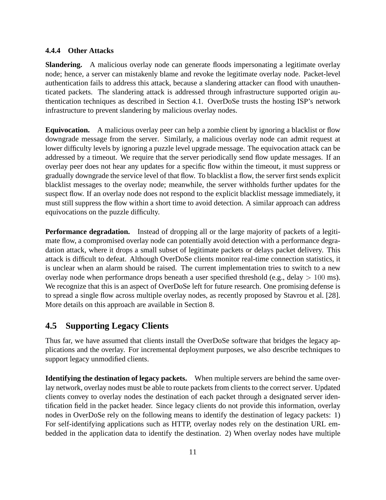#### **4.4.4 Other Attacks**

**Slandering.** A malicious overlay node can generate floods impersonating a legitimate overlay node; hence, a server can mistakenly blame and revoke the legitimate overlay node. Packet-level authentication fails to address this attack, because a slandering attacker can flood with unauthenticated packets. The slandering attack is addressed through infrastructure supported origin authentication techniques as described in Section 4.1. OverDoSe trusts the hosting ISP's network infrastructure to prevent slandering by malicious overlay nodes.

**Equivocation.** A malicious overlay peer can help a zombie client by ignoring a blacklist or flow downgrade message from the server. Similarly, a malicious overlay node can admit request at lower difficulty levels by ignoring a puzzle level upgrade message. The equivocation attack can be addressed by a timeout. We require that the server periodically send flow update messages. If an overlay peer does not hear any updates for a specific flow within the timeout, it must suppress or gradually downgrade the service level of that flow. To blacklist a flow, the server first sends explicit blacklist messages to the overlay node; meanwhile, the server withholds further updates for the suspect flow. If an overlay node does not respond to the explicit blacklist message immediately, it must still suppress the flow within a short time to avoid detection. A similar approach can address equivocations on the puzzle difficulty.

**Performance degradation.** Instead of dropping all or the large majority of packets of a legitimate flow, a compromised overlay node can potentially avoid detection with a performance degradation attack, where it drops a small subset of legitimate packets or delays packet delivery. This attack is difficult to defeat. Although OverDoSe clients monitor real-time connection statistics, it is unclear when an alarm should be raised. The current implementation tries to switch to a new overlay node when performance drops beneath a user specified threshold (e.g., delay  $> 100$  ms). We recognize that this is an aspect of OverDoSe left for future research. One promising defense is to spread a single flow across multiple overlay nodes, as recently proposed by Stavrou et al. [28]. More details on this approach are available in Section 8.

## **4.5 Supporting Legacy Clients**

Thus far, we have assumed that clients install the OverDoSe software that bridges the legacy applications and the overlay. For incremental deployment purposes, we also describe techniques to support legacy unmodified clients.

**Identifying the destination of legacy packets.** When multiple servers are behind the same overlay network, overlay nodes must be able to route packets from clients to the correct server. Updated clients convey to overlay nodes the destination of each packet through a designated server identification field in the packet header. Since legacy clients do not provide this information, overlay nodes in OverDoSe rely on the following means to identify the destination of legacy packets: 1) For self-identifying applications such as HTTP, overlay nodes rely on the destination URL embedded in the application data to identify the destination. 2) When overlay nodes have multiple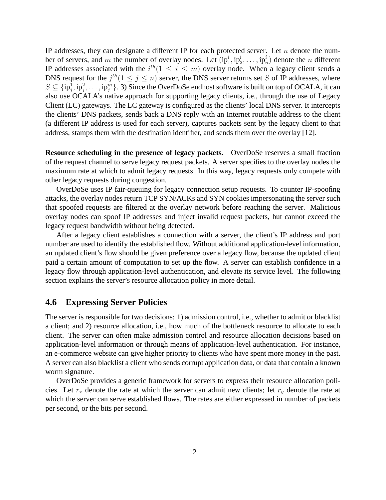IP addresses, they can designate a different IP for each protected server. Let  $n$  denote the number of servers, and m the number of overlay nodes. Let  $(ip_1^i, ip_2^i, \ldots, ip_n^i)$  denote the n different IP addresses associated with the  $i^{th}$  ( $1 \leq i \leq m$ ) overlay node. When a legacy client sends a DNS request for the  $j^{th}(1 \leq j \leq n)$  server, the DNS server returns set S of IP addresses, where  $S \subseteq \{ip_j^1, ip_j^2, \ldots, ip_j^m\}$ . 3) Since the OverDoSe endhost software is built on top of OCALA, it can also use OCALA's native approach for supporting legacy clients, i.e., through the use of Legacy Client (LC) gateways. The LC gateway is configured as the clients' local DNS server. It intercepts the clients' DNS packets, sends back a DNS reply with an Internet routable address to the client (a different IP address is used for each server), captures packets sent by the legacy client to that address, stamps them with the destination identifier, and sends them over the overlay [12].

**Resource scheduling in the presence of legacy packets.** OverDoSe reserves a small fraction of the request channel to serve legacy request packets. A server specifies to the overlay nodes the maximum rate at which to admit legacy requests. In this way, legacy requests only compete with other legacy requests during congestion.

OverDoSe uses IP fair-queuing for legacy connection setup requests. To counter IP-spoofing attacks, the overlay nodes return TCP SYN/ACKs and SYN cookies impersonating the server such that spoofed requests are filtered at the overlay network before reaching the server. Malicious overlay nodes can spoof IP addresses and inject invalid request packets, but cannot exceed the legacy request bandwidth without being detected.

After a legacy client establishes a connection with a server, the client's IP address and port number are used to identify the established flow. Without additional application-level information, an updated client's flow should be given preference over a legacy flow, because the updated client paid a certain amount of computation to set up the flow. A server can establish confidence in a legacy flow through application-level authentication, and elevate its service level. The following section explains the server's resource allocation policy in more detail.

#### **4.6 Expressing Server Policies**

The server is responsible for two decisions: 1) admission control, i.e., whether to admit or blacklist a client; and 2) resource allocation, i.e., how much of the bottleneck resource to allocate to each client. The server can often make admission control and resource allocation decisions based on application-level information or through means of application-level authentication. For instance, an e-commerce website can give higher priority to clients who have spent more money in the past. A server can also blacklist a client who sends corrupt application data, or data that contain a known worm signature.

OverDoSe provides a generic framework for servers to express their resource allocation policies. Let  $r_x$  denote the rate at which the server can admit new clients; let  $r_y$  denote the rate at which the server can serve established flows. The rates are either expressed in number of packets per second, or the bits per second.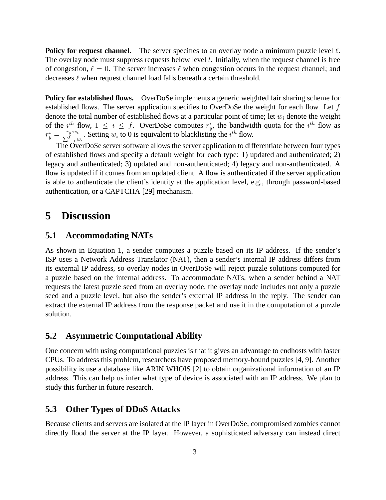**Policy for request channel.** The server specifies to an overlay node a minimum puzzle level  $\ell$ . The overlay node must suppress requests below level  $l$ . Initially, when the request channel is free of congestion,  $\ell = 0$ . The server increases  $\ell$  when congestion occurs in the request channel; and decreases  $\ell$  when request channel load falls beneath a certain threshold.

**Policy for established flows.** OverDoSe implements a generic weighted fair sharing scheme for established flows. The server application specifies to OverDoSe the weight for each flow. Let  $f$ denote the total number of established flows at a particular point of time; let  $w_i$  denote the weight of the  $i^{th}$  flow,  $1 \leq i \leq f$ . OverDoSe computes  $r_y^i$ , the bandwidth quota for the  $i^{th}$  flow as  $r_y^i = \frac{r_y \cdot w_i}{\sum_{i=1}^f w_i}$ . Setting  $w_i$  to 0 is equivalent to blacklisting the  $i^{th}$  flow.

The OverDoSe server software allows the server application to differentiate between four types of established flows and specify a default weight for each type: 1) updated and authenticated; 2) legacy and authenticated; 3) updated and non-authenticated; 4) legacy and non-authenticated. A flow is updated if it comes from an updated client. A flow is authenticated if the server application is able to authenticate the client's identity at the application level, e.g., through password-based authentication, or a CAPTCHA [29] mechanism.

## **5 Discussion**

### **5.1 Accommodating NATs**

As shown in Equation 1, a sender computes a puzzle based on its IP address. If the sender's ISP uses a Network Address Translator (NAT), then a sender's internal IP address differs from its external IP address, so overlay nodes in OverDoSe will reject puzzle solutions computed for a puzzle based on the internal address. To accommodate NATs, when a sender behind a NAT requests the latest puzzle seed from an overlay node, the overlay node includes not only a puzzle seed and a puzzle level, but also the sender's external IP address in the reply. The sender can extract the external IP address from the response packet and use it in the computation of a puzzle solution.

### **5.2 Asymmetric Computational Ability**

One concern with using computational puzzles is that it gives an advantage to endhosts with faster CPUs. To address this problem, researchers have proposed memory-bound puzzles [4, 9]. Another possibility is use a database like ARIN WHOIS [2] to obtain organizational information of an IP address. This can help us infer what type of device is associated with an IP address. We plan to study this further in future research.

## **5.3 Other Types of DDoS Attacks**

Because clients and servers are isolated at the IP layer in OverDoSe, compromised zombies cannot directly flood the server at the IP layer. However, a sophisticated adversary can instead direct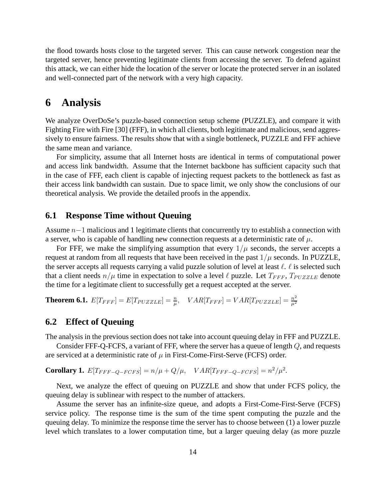the flood towards hosts close to the targeted server. This can cause network congestion near the targeted server, hence preventing legitimate clients from accessing the server. To defend against this attack, we can either hide the location of the server or locate the protected server in an isolated and well-connected part of the network with a very high capacity.

## **6 Analysis**

We analyze OverDoSe's puzzle-based connection setup scheme (PUZZLE), and compare it with Fighting Fire with Fire [30] (FFF), in which all clients, both legitimate and malicious, send aggressively to ensure fairness. The results show that with a single bottleneck, PUZZLE and FFF achieve the same mean and variance.

For simplicity, assume that all Internet hosts are identical in terms of computational power and access link bandwidth. Assume that the Internet backbone has sufficient capacity such that in the case of FFF, each client is capable of injecting request packets to the bottleneck as fast as their access link bandwidth can sustain. Due to space limit, we only show the conclusions of our theoretical analysis. We provide the detailed proofs in the appendix.

#### **6.1 Response Time without Queuing**

Assume  $n-1$  malicious and 1 legitimate clients that concurrently try to establish a connection with a server, who is capable of handling new connection requests at a deterministic rate of  $\mu$ .

For FFF, we make the simplifying assumption that every  $1/\mu$  seconds, the server accepts a request at random from all requests that have been received in the past  $1/\mu$  seconds. In PUZZLE, the server accepts all requests carrying a valid puzzle solution of level at least  $\ell$ .  $\ell$  is selected such that a client needs  $n/\mu$  time in expectation to solve a level  $\ell$  puzzle. Let  $T_{FFF}$ ,  $T_{PUZZLE}$  denote the time for a legitimate client to successfully get a request accepted at the server.

**Theorem 6.1.**  $E[T_{FFF}] = E[T_{PUZZLE}] = \frac{n}{\mu}$ ,  $VAR[T_{FFF}] = VAR[T_{PUZZLE}] = \frac{n^2}{\mu^2}$  $\mu^2$ 

### **6.2 Effect of Queuing**

The analysis in the previous section does not take into account queuing delay in FFF and PUZZLE.

Consider FFF-Q-FCFS, a variant of FFF, where the server has a queue of length  $Q$ , and requests are serviced at a deterministic rate of  $\mu$  in First-Come-First-Serve (FCFS) order.

**Corollary 1.**  $E[T_{FFF-Q-FCFS}] = n/\mu + Q/\mu$ ,  $VAR[T_{FFF-Q-FCFS}] = n^2/\mu^2$ .

Next, we analyze the effect of queuing on PUZZLE and show that under FCFS policy, the queuing delay is sublinear with respect to the number of attackers.

Assume the server has an infinite-size queue, and adopts a First-Come-First-Serve (FCFS) service policy. The response time is the sum of the time spent computing the puzzle and the queuing delay. To minimize the response time the server has to choose between (1) a lower puzzle level which translates to a lower computation time, but a larger queuing delay (as more puzzle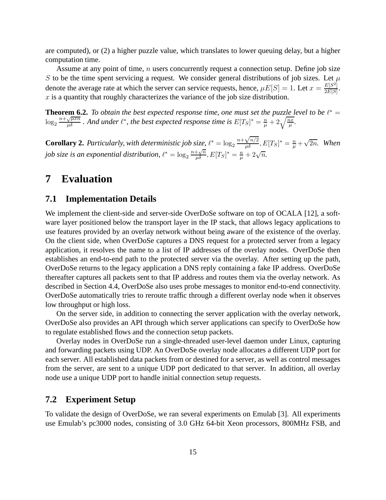are computed), or (2) a higher puzzle value, which translates to lower queuing delay, but a higher computation time.

Assume at any point of time,  $n$  users concurrently request a connection setup. Define job size S to be the time spent servicing a request. We consider general distributions of job sizes. Let  $\mu$ denote the average rate at which the server can service requests, hence,  $\mu E[S] = 1$ . Let  $x = \frac{E[S^2]}{2E[S]}$  $rac{E[S^2]}{2E[S]}$ .  $x$  is a quantity that roughly characterizes the variance of the job size distribution.

**Theorem 6.2.** *To obtain the best expected response time, one must set the puzzle level to be*  $\ell^* =$  $\log_2 \frac{n + \sqrt{\mu x n}}{\mu \delta}$ . And under  $\ell^*$ , the best expected response time is  $E[T_S]^* = \frac{n}{\mu} + 2\sqrt{\frac{nx}{\mu}}$ .

**Corollary 2.** *Particularly, with deterministic job size,*  $\ell^* = \log_2 \frac{n + \sqrt{n/2}}{\mu \delta}$ ,  $E[T_S]^* = \frac{n}{\mu} + \sqrt{2n}$ . *When job size is an exponential distribution,*  $\ell^* = \log_2 \frac{n + \sqrt{n}}{\mu \delta}$ ,  $E[T_S]^* = \frac{n}{\mu} + 2\sqrt{n}$ .

# **7 Evaluation**

### **7.1 Implementation Details**

We implement the client-side and server-side OverDoSe software on top of OCALA [12], a software layer positioned below the transport layer in the IP stack, that allows legacy applications to use features provided by an overlay network without being aware of the existence of the overlay. On the client side, when OverDoSe captures a DNS request for a protected server from a legacy application, it resolves the name to a list of IP addresses of the overlay nodes. OverDoSe then establishes an end-to-end path to the protected server via the overlay. After setting up the path, OverDoSe returns to the legacy application a DNS reply containing a fake IP address. OverDoSe thereafter captures all packets sent to that IP address and routes them via the overlay network. As described in Section 4.4, OverDoSe also uses probe messages to monitor end-to-end connectivity. OverDoSe automatically tries to reroute traffic through a different overlay node when it observes low throughput or high loss.

On the server side, in addition to connecting the server application with the overlay network, OverDoSe also provides an API through which server applications can specify to OverDoSe how to regulate established flows and the connection setup packets.

Overlay nodes in OverDoSe run a single-threaded user-level daemon under Linux, capturing and forwarding packets using UDP. An OverDoSe overlay node allocates a different UDP port for each server. All established data packets from or destined for a server, as well as control messages from the server, are sent to a unique UDP port dedicated to that server. In addition, all overlay node use a unique UDP port to handle initial connection setup requests.

### **7.2 Experiment Setup**

To validate the design of OverDoSe, we ran several experiments on Emulab [3]. All experiments use Emulab's pc3000 nodes, consisting of 3.0 GHz 64-bit Xeon processors, 800MHz FSB, and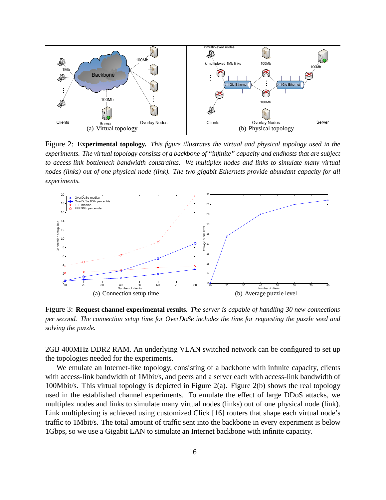

Figure 2: **Experimental topology.** *This figure illustrates the virtual and physical topology used in the experiments. The virtual topology consists of a backbone of "infinite" capacity and endhosts that are subject to access-link bottleneck bandwidth constraints. We multiplex nodes and links to simulate many virtual nodes (links) out of one physical node (link). The two gigabit Ethernets provide abundant capacity for all experiments.*



Figure 3: **Request channel experimental results.** *The server is capable of handling 30 new connections per second. The connection setup time for OverDoSe includes the time for requesting the puzzle seed and solving the puzzle.*

2GB 400MHz DDR2 RAM. An underlying VLAN switched network can be configured to set up the topologies needed for the experiments.

We emulate an Internet-like topology, consisting of a backbone with infinite capacity, clients with access-link bandwidth of 1Mbit/s, and peers and a server each with access-link bandwidth of 100Mbit/s. This virtual topology is depicted in Figure 2(a). Figure 2(b) shows the real topology used in the established channel experiments. To emulate the effect of large DDoS attacks, we multiplex nodes and links to simulate many virtual nodes (links) out of one physical node (link). Link multiplexing is achieved using customized Click [16] routers that shape each virtual node's traffic to 1Mbit/s. The total amount of traffic sent into the backbone in every experiment is below 1Gbps, so we use a Gigabit LAN to simulate an Internet backbone with infinite capacity.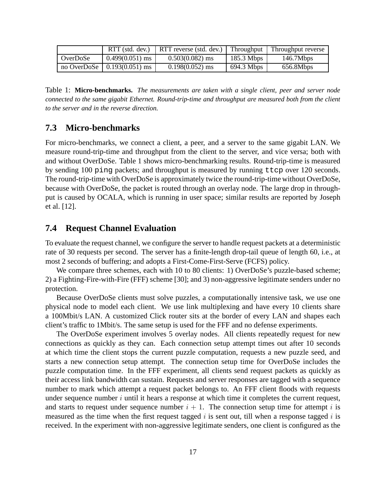|          | $RTT$ (std. dev.)                | RTT reverse (std. dev.) | Throughput   | Throughput reverse |
|----------|----------------------------------|-------------------------|--------------|--------------------|
| OverDoSe | $0.499(0.051)$ ms                | $0.503(0.082)$ ms       | $185.3$ Mbps | 146.7Mbps          |
|          | no Over $DoSe$   0.193(0.051) ms | $0.198(0.052)$ ms       | 694.3 Mbps   | 656.8Mbps          |

Table 1: **Micro-benchmarks.** *The measurements are taken with a single client, peer and server node connected to the same gigabit Ethernet. Round-trip-time and throughput are measured both from the client to the server and in the reverse direction.*

## **7.3 Micro-benchmarks**

For micro-benchmarks, we connect a client, a peer, and a server to the same gigabit LAN. We measure round-trip-time and throughput from the client to the server, and vice versa; both with and without OverDoSe. Table 1 shows micro-benchmarking results. Round-trip-time is measured by sending 100 ping packets; and throughput is measured by running ttcp over 120 seconds. The round-trip-time with OverDoSe is approximately twice the round-trip-time without OverDoSe, because with OverDoSe, the packet is routed through an overlay node. The large drop in throughput is caused by OCALA, which is running in user space; similar results are reported by Joseph et al. [12].

## **7.4 Request Channel Evaluation**

To evaluate the request channel, we configure the server to handle request packets at a deterministic rate of 30 requests per second. The server has a finite-length drop-tail queue of length 60, i.e., at most 2 seconds of buffering; and adopts a First-Come-First-Serve (FCFS) policy.

We compare three schemes, each with 10 to 80 clients: 1) OverDoSe's puzzle-based scheme; 2) a Fighting-Fire-with-Fire (FFF) scheme [30]; and 3) non-aggressive legitimate senders under no protection.

Because OverDoSe clients must solve puzzles, a computationally intensive task, we use one physical node to model each client. We use link multiplexing and have every 10 clients share a 100Mbit/s LAN. A customized Click router sits at the border of every LAN and shapes each client's traffic to 1Mbit/s. The same setup is used for the FFF and no defense experiments.

The OverDoSe experiment involves 5 overlay nodes. All clients repeatedly request for new connections as quickly as they can. Each connection setup attempt times out after 10 seconds at which time the client stops the current puzzle computation, requests a new puzzle seed, and starts a new connection setup attempt. The connection setup time for OverDoSe includes the puzzle computation time. In the FFF experiment, all clients send request packets as quickly as their access link bandwidth can sustain. Requests and server responses are tagged with a sequence number to mark which attempt a request packet belongs to. An FFF client floods with requests under sequence number  $i$  until it hears a response at which time it completes the current request, and starts to request under sequence number  $i + 1$ . The connection setup time for attempt i is measured as the time when the first request tagged  $i$  is sent out, till when a response tagged  $i$  is received. In the experiment with non-aggressive legitimate senders, one client is configured as the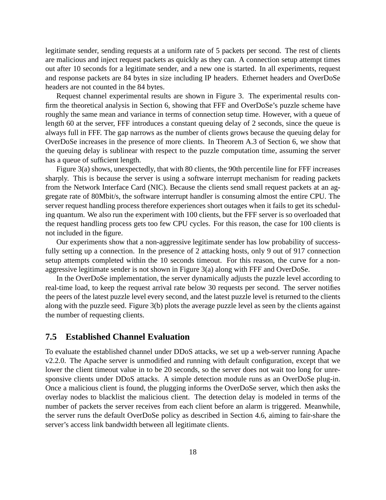legitimate sender, sending requests at a uniform rate of 5 packets per second. The rest of clients are malicious and inject request packets as quickly as they can. A connection setup attempt times out after 10 seconds for a legitimate sender, and a new one is started. In all experiments, request and response packets are 84 bytes in size including IP headers. Ethernet headers and OverDoSe headers are not counted in the 84 bytes.

Request channel experimental results are shown in Figure 3. The experimental results confirm the theoretical analysis in Section 6, showing that FFF and OverDoSe's puzzle scheme have roughly the same mean and variance in terms of connection setup time. However, with a queue of length 60 at the server, FFF introduces a constant queuing delay of 2 seconds, since the queue is always full in FFF. The gap narrows as the number of clients grows because the queuing delay for OverDoSe increases in the presence of more clients. In Theorem A.3 of Section 6, we show that the queuing delay is sublinear with respect to the puzzle computation time, assuming the server has a queue of sufficient length.

Figure 3(a) shows, unexpectedly, that with 80 clients, the 90th percentile line for FFF increases sharply. This is because the server is using a software interrupt mechanism for reading packets from the Network Interface Card (NIC). Because the clients send small request packets at an aggregate rate of 80Mbit/s, the software interrupt handler is consuming almost the entire CPU. The server request handling process therefore experiences short outages when it fails to get its scheduling quantum. We also run the experiment with 100 clients, but the FFF server is so overloaded that the request handling process gets too few CPU cycles. For this reason, the case for 100 clients is not included in the figure.

Our experiments show that a non-aggressive legitimate sender has low probability of successfully setting up a connection. In the presence of 2 attacking hosts, only 9 out of 917 connection setup attempts completed within the 10 seconds timeout. For this reason, the curve for a nonaggressive legitimate sender is not shown in Figure 3(a) along with FFF and OverDoSe.

In the OverDoSe implementation, the server dynamically adjusts the puzzle level according to real-time load, to keep the request arrival rate below 30 requests per second. The server notifies the peers of the latest puzzle level every second, and the latest puzzle level is returned to the clients along with the puzzle seed. Figure 3(b) plots the average puzzle level as seen by the clients against the number of requesting clients.

#### **7.5 Established Channel Evaluation**

To evaluate the established channel under DDoS attacks, we set up a web-server running Apache v2.2.0. The Apache server is unmodified and running with default configuration, except that we lower the client timeout value in to be 20 seconds, so the server does not wait too long for unresponsive clients under DDoS attacks. A simple detection module runs as an OverDoSe plug-in. Once a malicious client is found, the plugging informs the OverDoSe server, which then asks the overlay nodes to blacklist the malicious client. The detection delay is modeled in terms of the number of packets the server receives from each client before an alarm is triggered. Meanwhile, the server runs the default OverDoSe policy as described in Section 4.6, aiming to fair-share the server's access link bandwidth between all legitimate clients.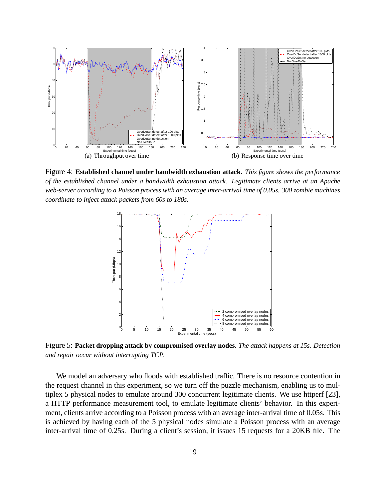

Figure 4: **Established channel under bandwidth exhaustion attack.** *This figure shows the performance of the established channel under a bandwidth exhaustion attack. Legitimate clients arrive at an Apache web-server according to a Poisson process with an average inter-arrival time of 0.05s. 300 zombie machines coordinate to inject attack packets from 60s to 180s.*



Figure 5: **Packet dropping attack by compromised overlay nodes.** *The attack happens at 15s. Detection and repair occur without interrupting TCP.*

We model an adversary who floods with established traffic. There is no resource contention in the request channel in this experiment, so we turn off the puzzle mechanism, enabling us to multiplex 5 physical nodes to emulate around 300 concurrent legitimate clients. We use httperf [23], a HTTP performance measurement tool, to emulate legitimate clients' behavior. In this experiment, clients arrive according to a Poisson process with an average inter-arrival time of 0.05s. This is achieved by having each of the 5 physical nodes simulate a Poisson process with an average inter-arrival time of 0.25s. During a client's session, it issues 15 requests for a 20KB file. The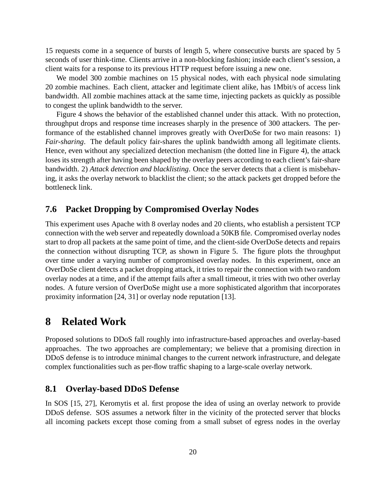15 requests come in a sequence of bursts of length 5, where consecutive bursts are spaced by 5 seconds of user think-time. Clients arrive in a non-blocking fashion; inside each client's session, a client waits for a response to its previous HTTP request before issuing a new one.

We model 300 zombie machines on 15 physical nodes, with each physical node simulating 20 zombie machines. Each client, attacker and legitimate client alike, has 1Mbit/s of access link bandwidth. All zombie machines attack at the same time, injecting packets as quickly as possible to congest the uplink bandwidth to the server.

Figure 4 shows the behavior of the established channel under this attack. With no protection, throughput drops and response time increases sharply in the presence of 300 attackers. The performance of the established channel improves greatly with OverDoSe for two main reasons: 1) *Fair-sharing*. The default policy fair-shares the uplink bandwidth among all legitimate clients. Hence, even without any specialized detection mechanism (the dotted line in Figure 4), the attack loses its strength after having been shaped by the overlay peers according to each client's fair-share bandwidth. 2) *Attack detection and blacklisting*. Once the server detects that a client is misbehaving, it asks the overlay network to blacklist the client; so the attack packets get dropped before the bottleneck link.

## **7.6 Packet Dropping by Compromised Overlay Nodes**

This experiment uses Apache with 8 overlay nodes and 20 clients, who establish a persistent TCP connection with the web server and repeatedly download a 50KB file. Compromised overlay nodes start to drop all packets at the same point of time, and the client-side OverDoSe detects and repairs the connection without disrupting TCP, as shown in Figure 5. The figure plots the throughput over time under a varying number of compromised overlay nodes. In this experiment, once an OverDoSe client detects a packet dropping attack, it tries to repair the connection with two random overlay nodes at a time, and if the attempt fails after a small timeout, it tries with two other overlay nodes. A future version of OverDoSe might use a more sophisticated algorithm that incorporates proximity information [24, 31] or overlay node reputation [13].

## **8 Related Work**

Proposed solutions to DDoS fall roughly into infrastructure-based approaches and overlay-based approaches. The two approaches are complementary; we believe that a promising direction in DDoS defense is to introduce minimal changes to the current network infrastructure, and delegate complex functionalities such as per-flow traffic shaping to a large-scale overlay network.

### **8.1 Overlay-based DDoS Defense**

In SOS [15, 27], Keromytis et al. first propose the idea of using an overlay network to provide DDoS defense. SOS assumes a network filter in the vicinity of the protected server that blocks all incoming packets except those coming from a small subset of egress nodes in the overlay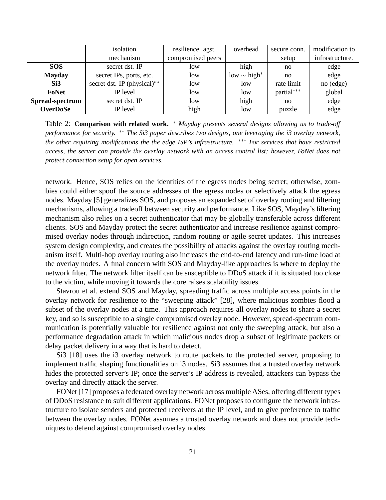|                 | isolation                   | resilience. agst. | overhead                     | secure conn. | modification to |
|-----------------|-----------------------------|-------------------|------------------------------|--------------|-----------------|
|                 | mechanism                   | compromised peers |                              | setup        | infrastructure. |
| <b>SOS</b>      | secret dst. IP              | low               | high                         | no           | edge            |
| <b>Mayday</b>   | secret IPs, ports, etc.     | low               | low $\sim$ high <sup>*</sup> | no           | edge            |
| Si3             | secret dst. IP (physical)** | low               | low                          | rate limit   | no (edge)       |
| FoNet           | IP level                    | low               | low                          | partial***   | global          |
| Spread-spectrum | secret dst. IP              | low               | high                         | no           | edge            |
| <b>OverDoSe</b> | IP level                    | high              | low                          | puzzle       | edge            |

Table 2: **Comparison with related work.** \* *Mayday presents several designs allowing us to trade-off performance for security.* ∗∗ *The Si3 paper describes two designs, one leveraging the i3 overlay network, the other requiring modifications the the edge ISP's infrastructure.* ∗∗∗ *For services that have restricted access, the server can provide the overlay network with an access control list; however, FoNet does not protect connection setup for open services.*

network. Hence, SOS relies on the identities of the egress nodes being secret; otherwise, zombies could either spoof the source addresses of the egress nodes or selectively attack the egress nodes. Mayday [5] generalizes SOS, and proposes an expanded set of overlay routing and filtering mechanisms, allowing a tradeoff between security and performance. Like SOS, Mayday's filtering mechanism also relies on a secret authenticator that may be globally transferable across different clients. SOS and Mayday protect the secret authenticator and increase resilience against compromised overlay nodes through indirection, random routing or agile secret updates. This increases system design complexity, and creates the possibility of attacks against the overlay routing mechanism itself. Multi-hop overlay routing also increases the end-to-end latency and run-time load at the overlay nodes. A final concern with SOS and Mayday-like approaches is where to deploy the network filter. The network filter itself can be susceptible to DDoS attack if it is situated too close to the victim, while moving it towards the core raises scalability issues.

Stavrou et al. extend SOS and Mayday, spreading traffic across multiple access points in the overlay network for resilience to the "sweeping attack" [28], where malicious zombies flood a subset of the overlay nodes at a time. This approach requires all overlay nodes to share a secret key, and so is susceptible to a single compromised overlay node. However, spread-spectrum communication is potentially valuable for resilience against not only the sweeping attack, but also a performance degradation attack in which malicious nodes drop a subset of legitimate packets or delay packet delivery in a way that is hard to detect.

Si3 [18] uses the i3 overlay network to route packets to the protected server, proposing to implement traffic shaping functionalities on i3 nodes. Si3 assumes that a trusted overlay network hides the protected server's IP; once the server's IP address is revealed, attackers can bypass the overlay and directly attack the server.

FONet [17] proposes a federated overlay network across multiple ASes, offering different types of DDoS resistance to suit different applications. FONet proposes to configure the network infrastructure to isolate senders and protected receivers at the IP level, and to give preference to traffic between the overlay nodes. FONet assumes a trusted overlay network and does not provide techniques to defend against compromised overlay nodes.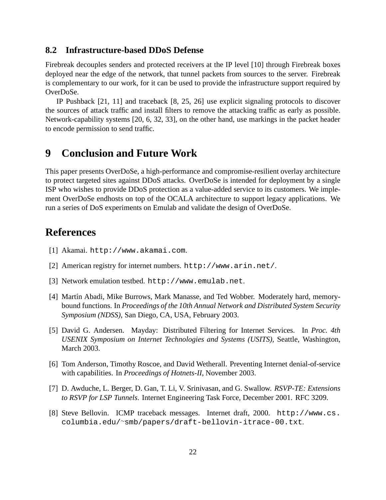## **8.2 Infrastructure-based DDoS Defense**

Firebreak decouples senders and protected receivers at the IP level [10] through Firebreak boxes deployed near the edge of the network, that tunnel packets from sources to the server. Firebreak is complementary to our work, for it can be used to provide the infrastructure support required by OverDoSe.

IP Pushback [21, 11] and traceback [8, 25, 26] use explicit signaling protocols to discover the sources of attack traffic and install filters to remove the attacking traffic as early as possible. Network-capability systems [20, 6, 32, 33], on the other hand, use markings in the packet header to encode permission to send traffic.

## **9 Conclusion and Future Work**

This paper presents OverDoSe, a high-performance and compromise-resilient overlay architecture to protect targeted sites against DDoS attacks. OverDoSe is intended for deployment by a single ISP who wishes to provide DDoS protection as a value-added service to its customers. We implement OverDoSe endhosts on top of the OCALA architecture to support legacy applications. We run a series of DoS experiments on Emulab and validate the design of OverDoSe.

# **References**

- [1] Akamai. http://www.akamai.com.
- [2] American registry for internet numbers. http://www.arin.net/.
- [3] Network emulation testbed. http://www.emulab.net.
- [4] Martín Abadi, Mike Burrows, Mark Manasse, and Ted Wobber. Moderately hard, memorybound functions. In *Proceedings of the 10th Annual Network and Distributed System Security Symposium (NDSS)*, San Diego, CA, USA, February 2003.
- [5] David G. Andersen. Mayday: Distributed Filtering for Internet Services. In *Proc. 4th USENIX Symposium on Internet Technologies and Systems (USITS)*, Seattle, Washington, March 2003.
- [6] Tom Anderson, Timothy Roscoe, and David Wetherall. Preventing Internet denial-of-service with capabilities. In *Proceedings of Hotnets-II*, November 2003.
- [7] D. Awduche, L. Berger, D. Gan, T. Li, V. Srinivasan, and G. Swallow. *RSVP-TE: Extensions to RSVP for LSP Tunnels*. Internet Engineering Task Force, December 2001. RFC 3209.
- [8] Steve Bellovin. ICMP traceback messages. Internet draft, 2000. http://www.cs. columbia.edu/∼smb/papers/draft-bellovin-itrace-00.txt.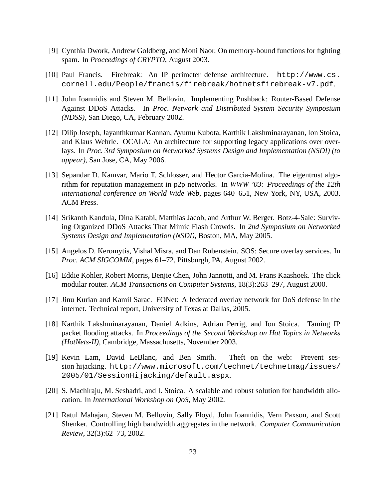- [9] Cynthia Dwork, Andrew Goldberg, and Moni Naor. On memory-bound functions for fighting spam. In *Proceedings of CRYPTO*, August 2003.
- [10] Paul Francis. Firebreak: An IP perimeter defense architecture. http://www.cs. cornell.edu/People/francis/firebreak/hotnetsfirebreak-v7.pdf.
- [11] John Ioannidis and Steven M. Bellovin. Implementing Pushback: Router-Based Defense Against DDoS Attacks. In *Proc. Network and Distributed System Security Symposium (NDSS)*, San Diego, CA, February 2002.
- [12] Dilip Joseph, Jayanthkumar Kannan, Ayumu Kubota, Karthik Lakshminarayanan, Ion Stoica, and Klaus Wehrle. OCALA: An architecture for supporting legacy applications over overlays. In *Proc. 3rd Symposium on Networked Systems Design and Implementation (NSDI) (to appear)*, San Jose, CA, May 2006.
- [13] Sepandar D. Kamvar, Mario T. Schlosser, and Hector Garcia-Molina. The eigentrust algorithm for reputation management in p2p networks. In *WWW '03: Proceedings of the 12th international conference on World Wide Web*, pages 640–651, New York, NY, USA, 2003. ACM Press.
- [14] Srikanth Kandula, Dina Katabi, Matthias Jacob, and Arthur W. Berger. Botz-4-Sale: Surviving Organized DDoS Attacks That Mimic Flash Crowds. In *2nd Symposium on Networked Systems Design and Implementation (NSDI)*, Boston, MA, May 2005.
- [15] Angelos D. Keromytis, Vishal Misra, and Dan Rubenstein. SOS: Secure overlay services. In *Proc. ACM SIGCOMM*, pages 61–72, Pittsburgh, PA, August 2002.
- [16] Eddie Kohler, Robert Morris, Benjie Chen, John Jannotti, and M. Frans Kaashoek. The click modular router. *ACM Transactions on Computer Systems*, 18(3):263–297, August 2000.
- [17] Jinu Kurian and Kamil Sarac. FONet: A federated overlay network for DoS defense in the internet. Technical report, University of Texas at Dallas, 2005.
- [18] Karthik Lakshminarayanan, Daniel Adkins, Adrian Perrig, and Ion Stoica. Taming IP packet flooding attacks. In *Proceedings of the Second Workshop on Hot Topics in Networks (HotNets-II)*, Cambridge, Massachusetts, November 2003.
- [19] Kevin Lam, David LeBlanc, and Ben Smith. Theft on the web: Prevent session hijacking. http://www.microsoft.com/technet/technetmag/issues/ 2005/01/SessionHijacking/default.aspx.
- [20] S. Machiraju, M. Seshadri, and I. Stoica. A scalable and robust solution for bandwidth allocation. In *International Workshop on QoS*, May 2002.
- [21] Ratul Mahajan, Steven M. Bellovin, Sally Floyd, John Ioannidis, Vern Paxson, and Scott Shenker. Controlling high bandwidth aggregates in the network. *Computer Communication Review*, 32(3):62–73, 2002.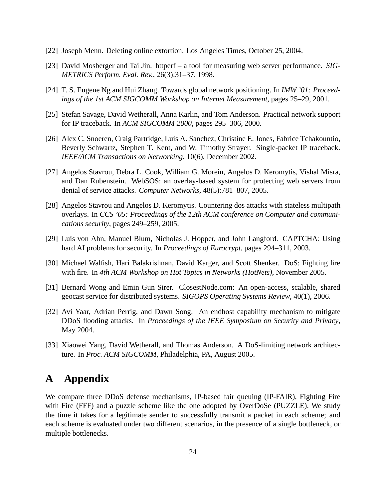- [22] Joseph Menn. Deleting online extortion. Los Angeles Times, October 25, 2004.
- [23] David Mosberger and Tai Jin. httperf a tool for measuring web server performance. *SIG-METRICS Perform. Eval. Rev.*, 26(3):31–37, 1998.
- [24] T. S. Eugene Ng and Hui Zhang. Towards global network positioning. In *IMW '01: Proceedings of the 1st ACM SIGCOMM Workshop on Internet Measurement*, pages 25–29, 2001.
- [25] Stefan Savage, David Wetherall, Anna Karlin, and Tom Anderson. Practical network support for IP traceback. In *ACM SIGCOMM 2000*, pages 295–306, 2000.
- [26] Alex C. Snoeren, Craig Partridge, Luis A. Sanchez, Christine E. Jones, Fabrice Tchakountio, Beverly Schwartz, Stephen T. Kent, and W. Timothy Strayer. Single-packet IP traceback. *IEEE/ACM Transactions on Networking*, 10(6), December 2002.
- [27] Angelos Stavrou, Debra L. Cook, William G. Morein, Angelos D. Keromytis, Vishal Misra, and Dan Rubenstein. WebSOS: an overlay-based system for protecting web servers from denial of service attacks. *Computer Networks*, 48(5):781–807, 2005.
- [28] Angelos Stavrou and Angelos D. Keromytis. Countering dos attacks with stateless multipath overlays. In *CCS '05: Proceedings of the 12th ACM conference on Computer and communications security*, pages 249–259, 2005.
- [29] Luis von Ahn, Manuel Blum, Nicholas J. Hopper, and John Langford. CAPTCHA: Using hard AI problems for security. In *Proceedings of Eurocrypt*, pages 294–311, 2003.
- [30] Michael Walfish, Hari Balakrishnan, David Karger, and Scott Shenker. DoS: Fighting fire with fire. In *4th ACM Workshop on Hot Topics in Networks (HotNets)*, November 2005.
- [31] Bernard Wong and Emin Gun Sirer. ClosestNode.com: An open-access, scalable, shared geocast service for distributed systems. *SIGOPS Operating Systems Review*, 40(1), 2006.
- [32] Avi Yaar, Adrian Perrig, and Dawn Song. An endhost capability mechanism to mitigate DDoS flooding attacks. In *Proceedings of the IEEE Symposium on Security and Privacy*, May 2004.
- [33] Xiaowei Yang, David Wetherall, and Thomas Anderson. A DoS-limiting network architecture. In *Proc. ACM SIGCOMM*, Philadelphia, PA, August 2005.

# **A Appendix**

We compare three DDoS defense mechanisms, IP-based fair queuing (IP-FAIR), Fighting Fire with Fire (FFF) and a puzzle scheme like the one adopted by OverDoSe (PUZZLE). We study the time it takes for a legitimate sender to successfully transmit a packet in each scheme; and each scheme is evaluated under two different scenarios, in the presence of a single bottleneck, or multiple bottlenecks.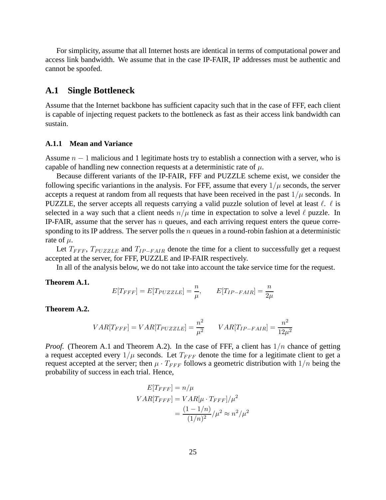For simplicity, assume that all Internet hosts are identical in terms of computational power and access link bandwidth. We assume that in the case IP-FAIR, IP addresses must be authentic and cannot be spoofed.

#### **A.1 Single Bottleneck**

Assume that the Internet backbone has sufficient capacity such that in the case of FFF, each client is capable of injecting request packets to the bottleneck as fast as their access link bandwidth can sustain.

#### **A.1.1 Mean and Variance**

Assume  $n - 1$  malicious and 1 legitimate hosts try to establish a connection with a server, who is capable of handling new connection requests at a deterministic rate of  $\mu$ .

Because different variants of the IP-FAIR, FFF and PUZZLE scheme exist, we consider the following specific variantions in the analysis. For FFF, assume that every  $1/\mu$  seconds, the server accepts a request at random from all requests that have been received in the past  $1/\mu$  seconds. In PUZZLE, the server accepts all requests carrying a valid puzzle solution of level at least  $\ell$ .  $\ell$  is selected in a way such that a client needs  $n/\mu$  time in expectation to solve a level  $\ell$  puzzle. In IP-FAIR, assume that the server has  $n$  queues, and each arriving request enters the queue corresponding to its IP address. The server polls the  $n$  queues in a round-robin fashion at a deterministic rate of  $\mu$ .

Let  $T_{FFF}$ ,  $T_{PUZZLE}$  and  $T_{IP-FAIR}$  denote the time for a client to successfully get a request accepted at the server, for FFF, PUZZLE and IP-FAIR respectively.

In all of the analysis below, we do not take into account the take service time for the request.

**Theorem A.1.**

$$
E[T_{FFF}] = E[T_{PUZZLE}] = \frac{n}{\mu}, \qquad E[T_{IP-FAIR}] = \frac{n}{2\mu}
$$

**Theorem A.2.**

$$
VAR[T_{FFF}] = VAR[T_{PUZZLE}] = \frac{n^2}{\mu^2} \qquad VAR[T_{IP-FAIR}] = \frac{n^2}{12\mu^2}
$$

*Proof.* (Theorem A.1 and Theorem A.2). In the case of FFF, a client has  $1/n$  chance of getting a request accepted every  $1/\mu$  seconds. Let  $T_{FFF}$  denote the time for a legitimate client to get a request accepted at the server; then  $\mu \cdot T_{FFF}$  follows a geometric distribution with  $1/n$  being the probability of success in each trial. Hence,

$$
E[T_{FFF}] = n/\mu
$$
  
\n
$$
VAR[T_{FFF}] = VAR[\mu \cdot T_{FFF}]/\mu^2
$$
  
\n
$$
= \frac{(1 - 1/n)}{(1/n)^2}/\mu^2 \approx n^2/\mu^2
$$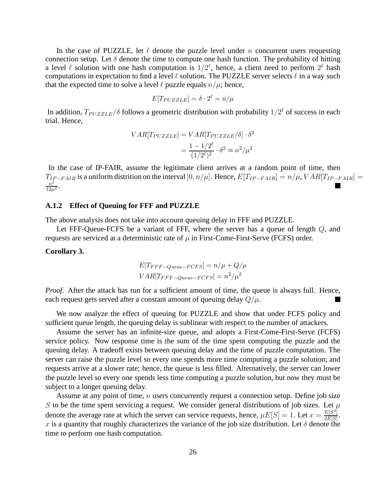In the case of PUZZLE, let  $\ell$  denote the puzzle level under n concurrent users requesting connection setup. Let  $\delta$  denote the time to compute one hash function. The probability of hitting a level  $\ell$  solution with one hash computation is  $1/2^{\ell}$ , hence, a client need to perform  $2^{\ell}$  hash computations in expectation to find a level  $\ell$  solution. The PUZZLE server selects  $\ell$  in a way such that the expected time to solve a level  $\ell$  puzzle equals  $n/\mu$ ; hence,

$$
E[T_{PUZZLE}] = \delta \cdot 2^{\ell} = n/\mu
$$

In addition,  $T_{PUZZLE}/\delta$  follows a geometric distribution with probability  $1/2^{\ell}$  of success in each trial. Hence,

$$
VAR[T_{PUZZLE}] = VAR[T_{PUZZLE}/\delta] \cdot \delta^2
$$

$$
= \frac{1 - 1/2^{\ell}}{(1/2^{\ell})^2} \cdot \delta^2 \approx n^2/\mu^2
$$

In the case of IP-FAIR, assume the legitimate client arrives at a random point of time, then  $T_{IP-FAIR}$  is a uniform distrition on the interval  $[0, n/\mu]$ . Hence,  $E[T_{IP-FAIR}] = n/\mu$ ,  $VAR[T_{IP-FAIR}] =$  $\frac{1}{n^2}$  $\frac{n^2}{12\mu^2}$ .

#### **A.1.2 Effect of Queuing for FFF and PUZZLE**

The above analysis does not take into account queuing delay in FFF and PUZZLE.

Let FFF-Queue-FCFS be a variant of FFF, where the server has a queue of length  $Q$ , and requests are serviced at a deterministic rate of  $\mu$  in First-Come-First-Serve (FCFS) order.

#### **Corollary 3.**

$$
E[T_{FFF-Queue-FCFS}] = n/\mu + Q/\mu
$$
  
 
$$
VAR[T_{FFF-Queue-FCFS}] = n^2/\mu^2
$$

*Proof.* After the attack has run for a sufficient amount of time, the queue is always full. Hence, each request gets served after a constant amount of queuing delay  $Q/\mu$ .

We now analyze the effect of queuing for PUZZLE and show that under FCFS policy and sufficient queue length, the queuing delay is sublinear with respect to the number of attackers.

Assume the server has an infinite-size queue, and adopts a First-Come-First-Serve (FCFS) service policy. Now response time is the sum of the time spent computing the puzzle and the queuing delay. A tradeoff exists between queuing delay and the time of puzzle computation. The server can raise the puzzle level so every one spends more time computing a puzzle solution; and requests arrive at a slower rate; hence, the queue is less filled. Alternatively, the server can lower the puzzle level so every one spends less time computing a puzzle solution, but now they must be subject to a longer queuing delay.

Assume at any point of time,  $n$  users concurrently request a connection setup. Define job size S to be the time spent servicing a request. We consider general distributions of job sizes. Let  $\mu$ denote the average rate at which the server can service requests, hence,  $\mu E[S] = 1$ . Let  $x = \frac{E[S^2]}{2E[S]}$  $rac{E[S^2]}{2E[S]}$ . x is a quantity that roughly characterizes the variance of the job size distribution. Let  $\delta$  denote the time to perform one hash computation.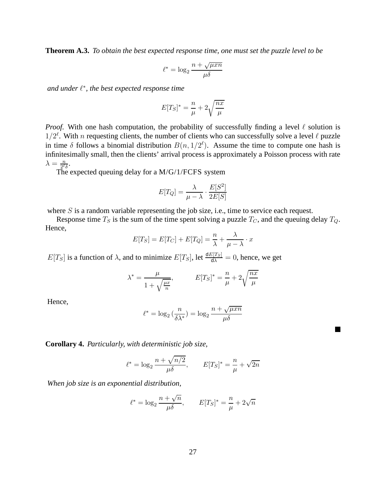**Theorem A.3.** *To obtain the best expected response time, one must set the puzzle level to be*

$$
\ell^* = \log_2 \frac{n + \sqrt{\mu x n}}{\mu \delta}
$$

*and under* ℓ ∗ *, the best expected response time*

$$
E[T_S]^* = \frac{n}{\mu} + 2\sqrt{\frac{nx}{\mu}}
$$

*Proof.* With one hash computation, the probability of successfully finding a level  $\ell$  solution is  $1/2^{\ell}$ . With n requesting clients, the number of clients who can successfully solve a level  $\ell$  puzzle in time  $\delta$  follows a binomial distribution  $B(n, 1/2^{\ell})$ . Assume the time to compute one hash is infinitesimally small, then the clients' arrival process is approximately a Poisson process with rate  $\lambda = \frac{n}{2^{\ell}}$  $\frac{n}{2^{\ell}\delta}$ .

The expected queuing delay for a M/G/1/FCFS system

$$
E[T_Q] = \frac{\lambda}{\mu - \lambda} \cdot \frac{E[S^2]}{2E[S]}
$$

where  $S$  is a random variable representing the job size, i.e., time to service each request.

Response time  $T_S$  is the sum of the time spent solving a puzzle  $T_C$ , and the queuing delay  $T_Q$ . Hence,

$$
E[T_S] = E[T_C] + E[T_Q] = \frac{n}{\lambda} + \frac{\lambda}{\mu - \lambda} \cdot x
$$

 $E[T_S]$  is a function of  $\lambda$ , and to minimize  $E[T_S]$ , let  $\frac{\text{d}E[T_S]}{\text{d}\lambda} = 0$ , hence, we get

$$
\lambda^* = \frac{\mu}{1 + \sqrt{\frac{\mu x}{n}}}, \qquad E[T_S]^* = \frac{n}{\mu} + 2\sqrt{\frac{nx}{\mu}}
$$

Hence,

$$
\ell^* = \log_2\left(\frac{n}{\delta \lambda^*}\right) = \log_2 \frac{n + \sqrt{\mu x n}}{\mu \delta}
$$

**Inches** 

**Corollary 4.** *Particularly, with deterministic job size,*

$$
\ell^* = \log_2 \frac{n + \sqrt{n/2}}{\mu \delta}, \qquad E[T_S]^* = \frac{n}{\mu} + \sqrt{2n}
$$

*When job size is an exponential distribution,*

$$
\ell^* = \log_2 \frac{n + \sqrt{n}}{\mu \delta}, \qquad E[T_S]^* = \frac{n}{\mu} + 2\sqrt{n}
$$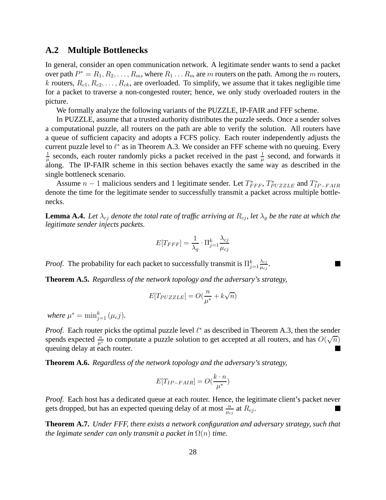### **A.2 Multiple Bottlenecks**

In general, consider an open communication network. A legitimate sender wants to send a packet over path  $P^* = R_1, R_2, \ldots, R_m$ , where  $R_1 \ldots R_m$  are  $m$  routers on the path. Among the  $m$  routers, k routers,  $R_{c1}, R_{c2}, \ldots, R_{ck}$ , are overloaded. To simplify, we assume that it takes negligible time for a packet to traverse a non-congested router; hence, we only study overloaded routers in the picture.

We formally analyze the following variants of the PUZZLE, IP-FAIR and FFF scheme.

In PUZZLE, assume that a trusted authority distributes the puzzle seeds. Once a sender solves a computational puzzle, all routers on the path are able to verify the solution. All routers have a queue of sufficient capacity and adopts a FCFS policy. Each router independently adjusts the current puzzle level to  $\ell^*$  as in Theorem A.3. We consider an FFF scheme with no queuing. Every 1  $\frac{1}{\mu}$  seconds, each router randomly picks a packet received in the past  $\frac{1}{\mu}$  second, and forwards it along. The IP-FAIR scheme in this section behaves exactly the same way as described in the single bottleneck scenario.

Assume  $n-1$  malicious senders and 1 legitimate sender. Let  $T^*_{FFF}$ ,  $T^*_{PUZZLE}$  and  $T^*_{IP-FAIR}$ denote the time for the legitimate sender to successfully transmit a packet across multiple bottlenecks.

**Lemma A.4.** Let  $\lambda_{cj}$  denote the total rate of traffic arriving at  $R_{cj}$ , let  $\lambda_g$  be the rate at which the *legitimate sender injects packets.*

$$
E[T_{FFF}] = \frac{1}{\lambda_g} \cdot \Pi_{j=1}^k \frac{\lambda_{cj}}{\mu_{cj}}
$$

n

*Proof.* The probability for each packet to successfully transmit is  $\prod_{j=1}^{k}$  $\lambda_{cj}$  $\frac{\lambda_{cj}}{\mu_{cj}}.$ 

**Theorem A.5.** *Regardless of the network topology and the adversary's strategy,*

$$
E[T_{PUZZLE}] = O(\frac{n}{\mu^*} + k\sqrt{n})
$$

*where*  $\mu^* = \min_{j=1}^k (\mu_c j)$ *.* 

*Proof.* Each router picks the optimal puzzle level  $\ell^*$  as described in Theorem A.3, then the sender spends expected  $\frac{n}{\mu^*}$  to computate a puzzle solution to get accepted at all routers, and has  $O(\sqrt{n})$ queuing delay at each router.

**Theorem A.6.** *Regardless of the network topology and the adversary's strategy,*

$$
E[T_{IP-FAIR}] = O(\frac{k \cdot n}{\mu^*})
$$

*Proof.* Each host has a dedicated queue at each router. Hence, the legitimate client's packet never gets dropped, but has an expected queuing delay of at most  $\frac{n}{\mu_{cj}}$  at  $R_{cj}$ .

**Theorem A.7.** *Under FFF, there exists a network configuration and adversary strategy, such that the legimate sender can only transmit a packet in*  $\Omega(n)$  *time.*